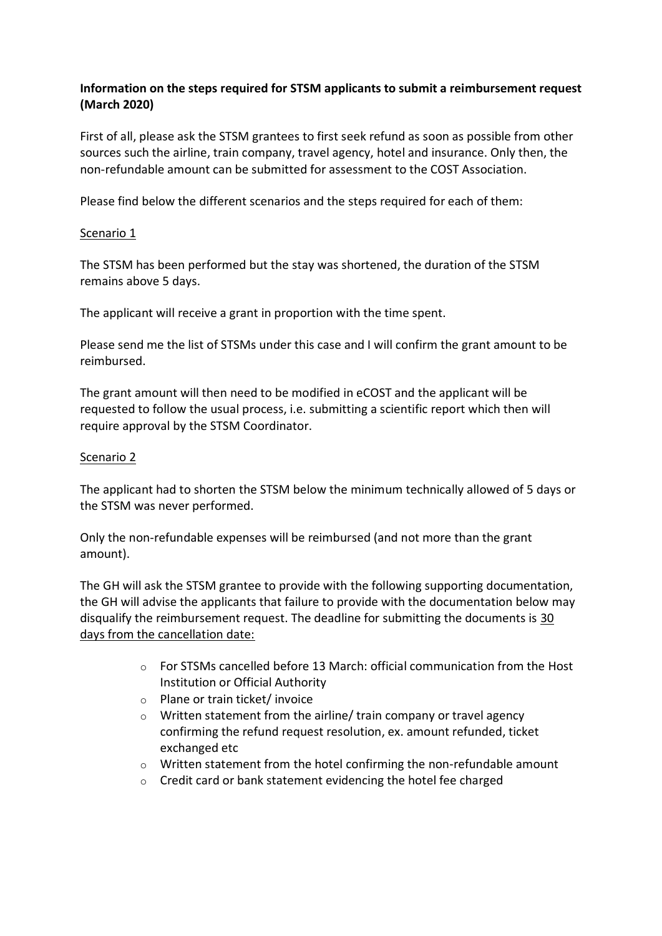## **Information on the steps required for STSM applicants to submit a reimbursement request (March 2020)**

First of all, please ask the STSM grantees to first seek refund as soon as possible from other sources such the airline, train company, travel agency, hotel and insurance. Only then, the non-refundable amount can be submitted for assessment to the COST Association.

Please find below the different scenarios and the steps required for each of them:

## Scenario 1

The STSM has been performed but the stay was shortened, the duration of the STSM remains above 5 days.

The applicant will receive a grant in proportion with the time spent.

Please send me the list of STSMs under this case and I will confirm the grant amount to be reimbursed.

The grant amount will then need to be modified in eCOST and the applicant will be requested to follow the usual process, i.e. submitting a scientific report which then will require approval by the STSM Coordinator.

## Scenario 2

The applicant had to shorten the STSM below the minimum technically allowed of 5 days or the STSM was never performed.

Only the non-refundable expenses will be reimbursed (and not more than the grant amount).

The GH will ask the STSM grantee to provide with the following supporting documentation, the GH will advise the applicants that failure to provide with the documentation below may disqualify the reimbursement request. The deadline for submitting the documents is 30 days from the cancellation date:

- $\circ$  For STSMs cancelled before 13 March: official communication from the Host Institution or Official Authority
- o Plane or train ticket/ invoice
- o Written statement from the airline/ train company or travel agency confirming the refund request resolution, ex. amount refunded, ticket exchanged etc
- $\circ$  Written statement from the hotel confirming the non-refundable amount
- o Credit card or bank statement evidencing the hotel fee charged